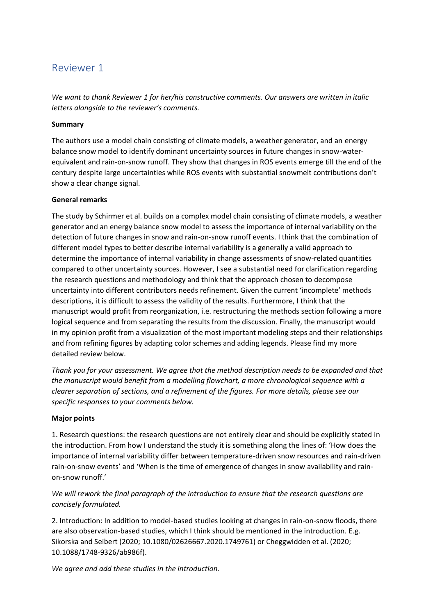# Reviewer 1

*We want to thank Reviewer 1 for her/his constructive comments. Our answers are written in italic letters alongside to the reviewer's comments.* 

## **Summary**

The authors use a model chain consisting of climate models, a weather generator, and an energy balance snow model to identify dominant uncertainty sources in future changes in snow-waterequivalent and rain-on-snow runoff. They show that changes in ROS events emerge till the end of the century despite large uncertainties while ROS events with substantial snowmelt contributions don't show a clear change signal.

## **General remarks**

The study by Schirmer et al. builds on a complex model chain consisting of climate models, a weather generator and an energy balance snow model to assess the importance of internal variability on the detection of future changes in snow and rain-on-snow runoff events. I think that the combination of different model types to better describe internal variability is a generally a valid approach to determine the importance of internal variability in change assessments of snow-related quantities compared to other uncertainty sources. However, I see a substantial need for clarification regarding the research questions and methodology and think that the approach chosen to decompose uncertainty into different contributors needs refinement. Given the current 'incomplete' methods descriptions, it is difficult to assess the validity of the results. Furthermore, I think that the manuscript would profit from reorganization, i.e. restructuring the methods section following a more logical sequence and from separating the results from the discussion. Finally, the manuscript would in my opinion profit from a visualization of the most important modeling steps and their relationships and from refining figures by adapting color schemes and adding legends. Please find my more detailed review below.

*Thank you for your assessment. We agree that the method description needs to be expanded and that the manuscript would benefit from a modelling flowchart, a more chronological sequence with a clearer separation of sections, and a refinement of the figures. For more details, please see our specific responses to your comments below.*

## **Major points**

1. Research questions: the research questions are not entirely clear and should be explicitly stated in the introduction. From how I understand the study it is something along the lines of: 'How does the importance of internal variability differ between temperature-driven snow resources and rain-driven rain-on-snow events' and 'When is the time of emergence of changes in snow availability and rainon-snow runoff.'

# *We will rework the final paragraph of the introduction to ensure that the research questions are concisely formulated.*

2. Introduction: In addition to model-based studies looking at changes in rain-on-snow floods, there are also observation-based studies, which I think should be mentioned in the introduction. E.g. Sikorska and Seibert (2020; 10.1080/02626667.2020.1749761) or Cheggwidden et al. (2020; 10.1088/1748-9326/ab986f).

*We agree and add these studies in the introduction.*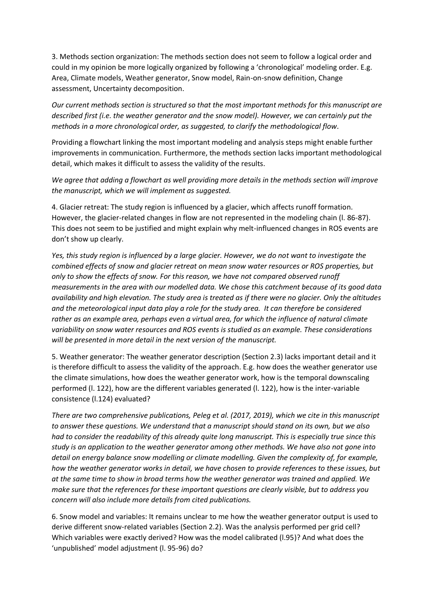3. Methods section organization: The methods section does not seem to follow a logical order and could in my opinion be more logically organized by following a 'chronological' modeling order. E.g. Area, Climate models, Weather generator, Snow model, Rain-on-snow definition, Change assessment, Uncertainty decomposition.

*Our current methods section is structured so that the most important methods for this manuscript are described first (i.e. the weather generator and the snow model). However, we can certainly put the methods in a more chronological order, as suggested, to clarify the methodological flow.*

Providing a flowchart linking the most important modeling and analysis steps might enable further improvements in communication. Furthermore, the methods section lacks important methodological detail, which makes it difficult to assess the validity of the results.

*We agree that adding a flowchart as well providing more details in the methods section will improve the manuscript, which we will implement as suggested.*

4. Glacier retreat: The study region is influenced by a glacier, which affects runoff formation. However, the glacier-related changes in flow are not represented in the modeling chain (l. 86-87). This does not seem to be justified and might explain why melt-influenced changes in ROS events are don't show up clearly.

*Yes, this study region is influenced by a large glacier. However, we do not want to investigate the combined effects of snow and glacier retreat on mean snow water resources or ROS properties, but only to show the effects of snow. For this reason, we have not compared observed runoff measurements in the area with our modelled data. We chose this catchment because of its good data availability and high elevation. The study area is treated as if there were no glacier. Only the altitudes and the meteorological input data play a role for the study area. It can therefore be considered rather as an example area, perhaps even a virtual area, for which the influence of natural climate variability on snow water resources and ROS events is studied as an example. These considerations will be presented in more detail in the next version of the manuscript.* 

5. Weather generator: The weather generator description (Section 2.3) lacks important detail and it is therefore difficult to assess the validity of the approach. E.g. how does the weather generator use the climate simulations, how does the weather generator work, how is the temporal downscaling performed (l. 122), how are the different variables generated (l. 122), how is the inter-variable consistence (l.124) evaluated?

*There are two comprehensive publications, Peleg et al. (2017, 2019), which we cite in this manuscript to answer these questions. We understand that a manuscript should stand on its own, but we also had to consider the readability of this already quite long manuscript. This is especially true since this study is an application to the weather generator among other methods. We have also not gone into detail on energy balance snow modelling or climate modelling. Given the complexity of, for example, how the weather generator works in detail, we have chosen to provide references to these issues, but at the same time to show in broad terms how the weather generator was trained and applied. We make sure that the references for these important questions are clearly visible, but to address you concern will also include more details from cited publications.* 

6. Snow model and variables: It remains unclear to me how the weather generator output is used to derive different snow-related variables (Section 2.2). Was the analysis performed per grid cell? Which variables were exactly derived? How was the model calibrated (l.95)? And what does the 'unpublished' model adjustment (l. 95-96) do?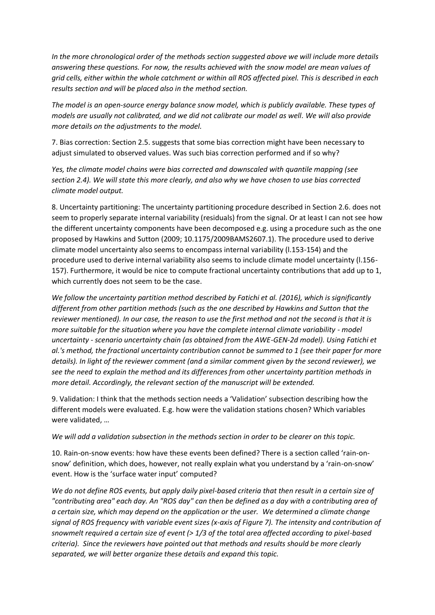*In the more chronological order of the methods section suggested above we will include more details answering these questions. For now, the results achieved with the snow model are mean values of grid cells, either within the whole catchment or within all ROS affected pixel. This is described in each results section and will be placed also in the method section.* 

*The model is an open-source energy balance snow model, which is publicly available. These types of models are usually not calibrated, and we did not calibrate our model as well. We will also provide more details on the adjustments to the model.*

7. Bias correction: Section 2.5. suggests that some bias correction might have been necessary to adjust simulated to observed values. Was such bias correction performed and if so why?

*Yes, the climate model chains were bias corrected and downscaled with quantile mapping (see section 2.4). We will state this more clearly, and also why we have chosen to use bias corrected climate model output.*

8. Uncertainty partitioning: The uncertainty partitioning procedure described in Section 2.6. does not seem to properly separate internal variability (residuals) from the signal. Or at least I can not see how the different uncertainty components have been decomposed e.g. using a procedure such as the one proposed by Hawkins and Sutton (2009; 10.1175/2009BAMS2607.1). The procedure used to derive climate model uncertainty also seems to encompass internal variability (l.153-154) and the procedure used to derive internal variability also seems to include climate model uncertainty (l.156- 157). Furthermore, it would be nice to compute fractional uncertainty contributions that add up to 1, which currently does not seem to be the case.

*We follow the uncertainty partition method described by Fatichi et al. (2016), which is significantly different from other partition methods (such as the one described by Hawkins and Sutton that the reviewer mentioned). In our case, the reason to use the first method and not the second is that it is more suitable for the situation where you have the complete internal climate variability - model uncertainty - scenario uncertainty chain (as obtained from the AWE-GEN-2d model). Using Fatichi et al.'s method, the fractional uncertainty contribution cannot be summed to 1 (see their paper for more details). In light of the reviewer comment (and a similar comment given by the second reviewer), we see the need to explain the method and its differences from other uncertainty partition methods in more detail. Accordingly, the relevant section of the manuscript will be extended.*

9. Validation: I think that the methods section needs a 'Validation' subsection describing how the different models were evaluated. E.g. how were the validation stations chosen? Which variables were validated, …

#### *We will add a validation subsection in the methods section in order to be clearer on this topic.*

10. Rain-on-snow events: how have these events been defined? There is a section called 'rain-onsnow' definition, which does, however, not really explain what you understand by a 'rain-on-snow' event. How is the 'surface water input' computed?

*We do not define ROS events, but apply daily pixel-based criteria that then result in a certain size of "contributing area" each day. An "ROS day" can then be defined as a day with a contributing area of a certain size, which may depend on the application or the user. We determined a climate change signal of ROS frequency with variable event sizes (x-axis of Figure 7). The intensity and contribution of snowmelt required a certain size of event (> 1/3 of the total area affected according to pixel-based criteria). Since the reviewers have pointed out that methods and results should be more clearly separated, we will better organize these details and expand this topic.*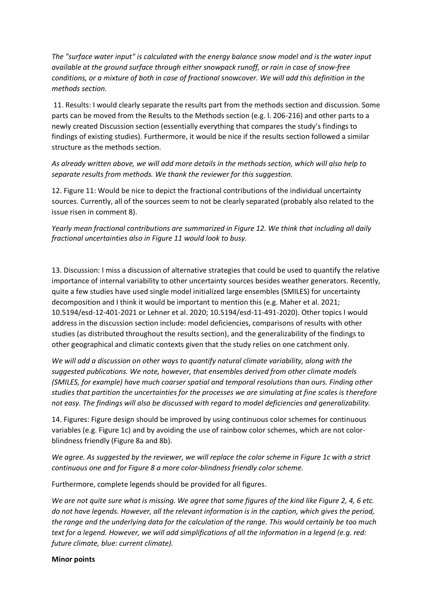*The "surface water input" is calculated with the energy balance snow model and is the water input available at the ground surface through either snowpack runoff, or rain in case of snow-free conditions, or a mixture of both in case of fractional snowcover. We will add this definition in the methods section.*

11. Results: I would clearly separate the results part from the methods section and discussion. Some parts can be moved from the Results to the Methods section (e.g. l. 206-216) and other parts to a newly created Discussion section (essentially everything that compares the study's findings to findings of existing studies). Furthermore, it would be nice if the results section followed a similar structure as the methods section.

*As already written above, we will add more details in the methods section, which will also help to separate results from methods. We thank the reviewer for this suggestion.* 

12. Figure 11: Would be nice to depict the fractional contributions of the individual uncertainty sources. Currently, all of the sources seem to not be clearly separated (probably also related to the issue risen in comment 8).

*Yearly mean fractional contributions are summarized in Figure 12. We think that including all daily fractional uncertainties also in Figure 11 would look to busy.*

13. Discussion: I miss a discussion of alternative strategies that could be used to quantify the relative importance of internal variability to other uncertainty sources besides weather generators. Recently, quite a few studies have used single model initialized large ensembles (SMILES) for uncertainty decomposition and I think it would be important to mention this (e.g. Maher et al. 2021; 10.5194/esd-12-401-2021 or Lehner et al. 2020; 10.5194/esd-11-491-2020). Other topics I would address in the discussion section include: model deficiencies, comparisons of results with other studies (as distributed throughout the results section), and the generalizability of the findings to other geographical and climatic contexts given that the study relies on one catchment only.

*We will add a discussion on other ways to quantify natural climate variability, along with the suggested publications. We note, however, that ensembles derived from other climate models (SMILES, for example) have much coarser spatial and temporal resolutions than ours. Finding other studies that partition the uncertainties for the processes we are simulating at fine scales is therefore not easy. The findings will also be discussed with regard to model deficiencies and generalizability.* 

14. Figures: Figure design should be improved by using continuous color schemes for continuous variables (e.g. Figure 1c) and by avoiding the use of rainbow color schemes, which are not colorblindness friendly (Figure 8a and 8b).

*We agree. As suggested by the reviewer, we will replace the color scheme in Figure 1c with a strict continuous one and for Figure 8 a more color-blindness friendly color scheme.*

Furthermore, complete legends should be provided for all figures.

*We are not quite sure what is missing. We agree that some figures of the kind like Figure 2, 4, 6 etc. do not have legends. However, all the relevant information is in the caption, which gives the period, the range and the underlying data for the calculation of the range. This would certainly be too much text for a legend. However, we will add simplifications of all the information in a legend (e.g. red: future climate, blue: current climate).* 

#### **Minor points**